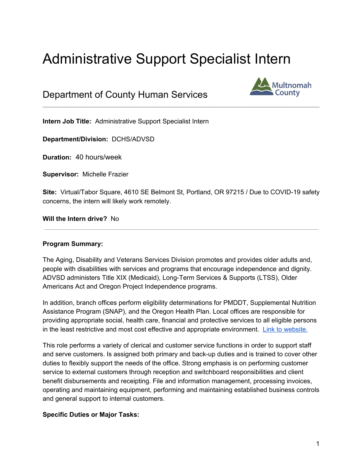# Administrative Support Specialist Intern

# Department of County Human Services



**Intern Job Title:** Administrative Support Specialist Intern

**Department/Division:** DCHS/ADVSD

**Duration:** 40 hours/week

**Supervisor:** Michelle Frazier

**Site:** Virtual/Tabor Square, 4610 SE Belmont St, Portland, OR 97215 / Due to COVID-19 safety concerns, the intern will likely work remotely.

 $\mathcal{L}_\mathcal{L} = \mathcal{L}_\mathcal{L} = \mathcal{L}_\mathcal{L} = \mathcal{L}_\mathcal{L} = \mathcal{L}_\mathcal{L} = \mathcal{L}_\mathcal{L} = \mathcal{L}_\mathcal{L} = \mathcal{L}_\mathcal{L} = \mathcal{L}_\mathcal{L} = \mathcal{L}_\mathcal{L} = \mathcal{L}_\mathcal{L} = \mathcal{L}_\mathcal{L} = \mathcal{L}_\mathcal{L} = \mathcal{L}_\mathcal{L} = \mathcal{L}_\mathcal{L} = \mathcal{L}_\mathcal{L} = \mathcal{L}_\mathcal{L}$ 

**Will the Intern drive?** No

#### **Program Summary:**

The Aging, Disability and Veterans Services Division promotes and provides older adults and, people with disabilities with services and programs that encourage independence and dignity. ADVSD administers Title XIX (Medicaid), Long-Term Services & Supports (LTSS), Older Americans Act and Oregon Project Independence programs.

In addition, branch offices perform eligibility determinations for PMDDT, Supplemental Nutrition Assistance Program (SNAP), and the Oregon Health Plan. Local offices are responsible for providing appropriate social, health care, financial and protective services to all eligible persons in the least restrictive and most cost effective and appropriate environment. Link to [website.](https://multco.us/ads)

This role performs a variety of clerical and customer service functions in order to support staff and serve customers. Is assigned both primary and back-up duties and is trained to cover other duties to flexibly support the needs of the office. Strong emphasis is on performing customer service to external customers through reception and switchboard responsibilities and client benefit disbursements and receipting. File and information management, processing invoices, operating and maintaining equipment, performing and maintaining established business controls and general support to internal customers.

#### **Specific Duties or Major Tasks:**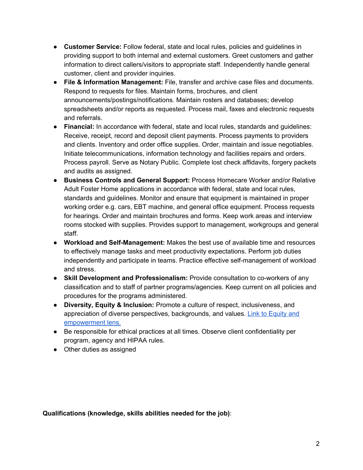- **Customer Service:** Follow federal, state and local rules, policies and guidelines in providing support to both internal and external customers. Greet customers and gather information to direct callers/visitors to appropriate staff. Independently handle general customer, client and provider inquiries.
- **File & Information Management:** File, transfer and archive case files and documents. Respond to requests for files. Maintain forms, brochures, and client announcements/postings/notifications. Maintain rosters and databases; develop spreadsheets and/or reports as requested. Process mail, faxes and electronic requests and referrals.
- **Financial:** In accordance with federal, state and local rules, standards and guidelines: Receive, receipt, record and deposit client payments. Process payments to providers and clients. Inventory and order office supplies. Order, maintain and issue negotiables. Initiate telecommunications, information technology and facilities repairs and orders. Process payroll. Serve as Notary Public. Complete lost check affidavits, forgery packets and audits as assigned.
- **Business Controls and General Support:** Process Homecare Worker and/or Relative Adult Foster Home applications in accordance with federal, state and local rules, standards and guidelines. Monitor and ensure that equipment is maintained in proper working order e.g. cars, EBT machine, and general office equipment. Process requests for hearings. Order and maintain brochures and forms. Keep work areas and interview rooms stocked with supplies. Provides support to management, workgroups and general staff.
- **Workload and Self-Management:** Makes the best use of available time and resources to effectively manage tasks and meet productivity expectations. Perform job duties independently and participate in teams. Practice effective self-management of workload and stress.
- **Skill Development and Professionalism:** Provide consultation to co-workers of any classification and to staff of partner programs/agencies. Keep current on all policies and procedures for the programs administered.
- **Diversity, Equity & Inclusion:** Promote a culture of respect, inclusiveness, and appreciation of diverse perspectives, backgrounds, and values. Link to [Equity](https://multco.us/diversity-equity/equity-and-empowerment-lens) and [empowerment](https://multco.us/diversity-equity/equity-and-empowerment-lens) lens.
- Be responsible for ethical practices at all times. Observe client confidentiality per program, agency and HIPAA rules.
- Other duties as assigned

**Qualifications (knowledge, skills abilities needed for the job)**: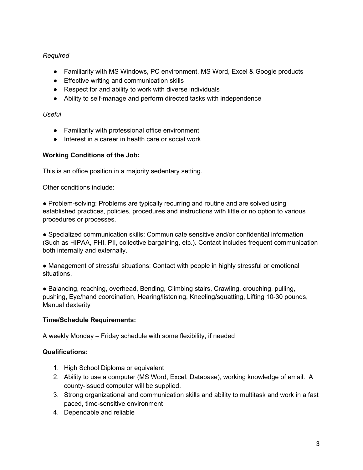## *Required*

- Familiarity with MS Windows, PC environment, MS Word, Excel & Google products
- Effective writing and communication skills
- Respect for and ability to work with diverse individuals
- Ability to self-manage and perform directed tasks with independence

#### *Useful*

- Familiarity with professional office environment
- Interest in a career in health care or social work

## **Working Conditions of the Job:**

This is an office position in a majority sedentary setting.

Other conditions include:

● Problem-solving: Problems are typically recurring and routine and are solved using established practices, policies, procedures and instructions with little or no option to various procedures or processes.

● Specialized communication skills: Communicate sensitive and/or confidential information (Such as HIPAA, PHI, PII, collective bargaining, etc.). Contact includes frequent communication both internally and externally.

● Management of stressful situations: Contact with people in highly stressful or emotional situations.

● Balancing, reaching, overhead, Bending, Climbing stairs, Crawling, crouching, pulling, pushing, Eye/hand coordination, Hearing/listening, Kneeling/squatting, Lifting 10-30 pounds, Manual dexterity

#### **Time/Schedule Requirements:**

A weekly Monday – Friday schedule with some flexibility, if needed

#### **Qualifications:**

- 1. High School Diploma or equivalent
- 2. Ability to use a computer (MS Word, Excel, Database), working knowledge of email. A county-issued computer will be supplied.
- 3. Strong organizational and communication skills and ability to multitask and work in a fast paced, time-sensitive environment
- 4. Dependable and reliable